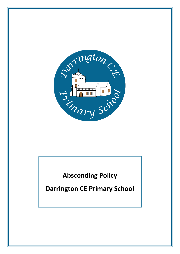

## **Absconding Policy**

**Darrington CE Primary School**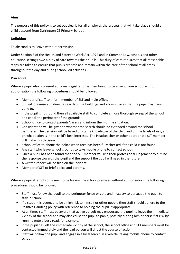## **Aims**

The purpose of this policy is to set out clearly for all employes the process that will take place should a child abscond from Darrington CE Primary School.

## **Definition**

To abscond is to 'leave without permission.'

Under Section 3 of the Health and Safety at Work Act, 1974 and in Common Law, schools and other education settings owe a duty of care towards their pupils. This duty of care requires that all reasonable steps are taken to ensure that pupils are safe and remain within the care of the school at all times throughout the day and during school led activities.

## **Procedure**

Where a pupil who is present at formal registration is then found to be absent from school without authorisation the following procedures should be followed:

- Member of staff to inform member of SLT and main office.
- SLT will organise and direct a search of the buildings and known places that the pupil may have gone to.
- If the pupil is not found then all available staff to complete a more thorough sweep of the school and check the perimeter of the grounds.
- School office to contact parents/carers and inform them of the situation.
- Consideration will be given to whether the search should be extended beyond the school perimeter. The decision will be based on staff's knowledge of the child and on the levels of risk, and on what action is in the child's best interests. The Headteacher or other appropriate SLT member will make this decision.
- School office to phone the police when area has been fully checked if the child is not found.
- Any staff who leave school grounds to take mobile phone to contact school.
- Once a pupil has been found then the SLT member will use their professional judgement to outline the response towards the pupil and the support the pupil will need in the future.
- A written report will be filed on the incident.
- Member of SLT to brief police and parents.

Where a pupil attempts or is seen to be leaving the school premises without authorisation the following procedures should be followed:

- Staff must follow the pupil to the perimeter fence or gate and must try to persuade the pupil to stay in school.
- If a student is deemed to be a high risk to himself or other people then staff should adhere to the Positive Handling policy with reference to holding the pupil, if appropriate.
- At all times staff must be aware that active pursuit may encourage the pupil to leave the immediate vicinity of the school and may also cause the pupil to panic, possibly putting him or herself at risk by running onto a busy road, for example.
- If the pupil has left the immediate vicinity of the school, the school office and SLT members must be contacted immediately and the lead person will direct the course of action.
- Staff will follow the pupil and engage in a local search in a vehicle, taking mobile phone to contact school.